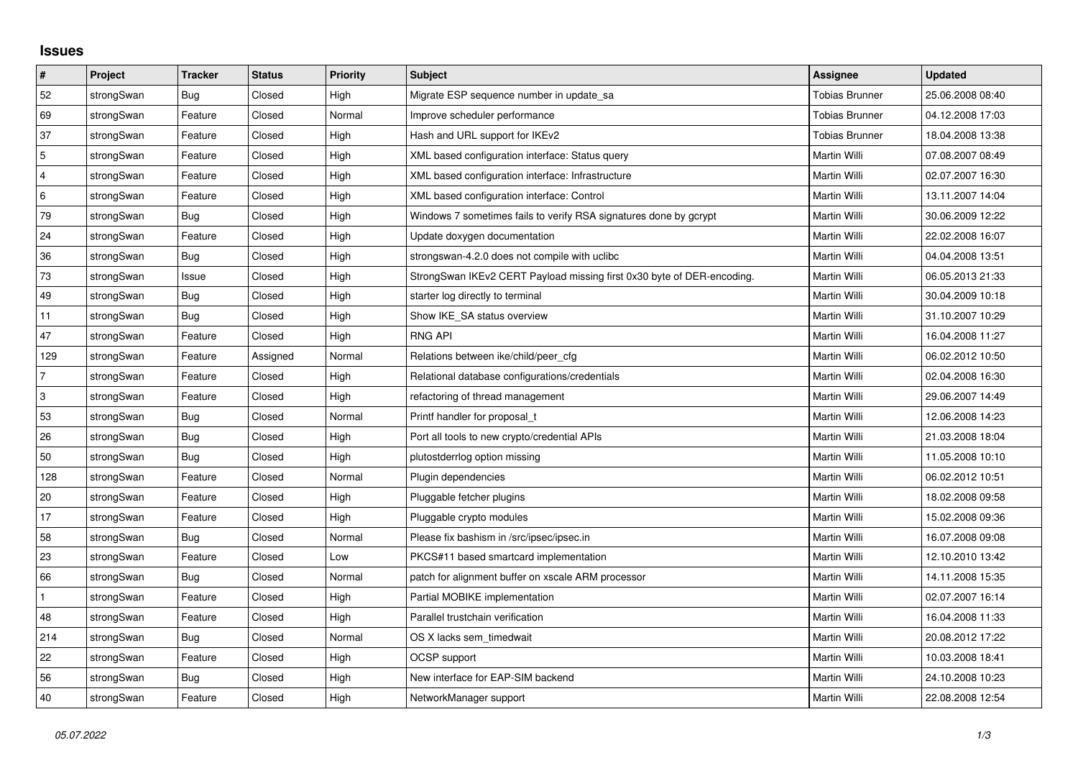## **Issues**

| $\vert$ #                 | Project    | <b>Tracker</b> | <b>Status</b> | Priority | <b>Subject</b>                                                         | <b>Assignee</b>       | <b>Updated</b>   |
|---------------------------|------------|----------------|---------------|----------|------------------------------------------------------------------------|-----------------------|------------------|
| 52                        | strongSwan | Bug            | Closed        | High     | Migrate ESP sequence number in update sa                               | Tobias Brunner        | 25.06.2008 08:40 |
| 69                        | strongSwan | Feature        | Closed        | Normal   | Improve scheduler performance                                          | <b>Tobias Brunner</b> | 04.12.2008 17:03 |
| 37                        | strongSwan | Feature        | Closed        | High     | Hash and URL support for IKEv2                                         | <b>Tobias Brunner</b> | 18.04.2008 13:38 |
| $\sqrt{5}$                | strongSwan | Feature        | Closed        | High     | XML based configuration interface: Status query                        | Martin Willi          | 07.08.2007 08:49 |
| $\overline{4}$            | strongSwan | Feature        | Closed        | High     | XML based configuration interface: Infrastructure                      | Martin Willi          | 02.07.2007 16:30 |
| $\,6\,$                   | strongSwan | Feature        | Closed        | High     | XML based configuration interface: Control                             | <b>Martin Willi</b>   | 13.11.2007 14:04 |
| 79                        | strongSwan | Bug            | Closed        | High     | Windows 7 sometimes fails to verify RSA signatures done by gcrypt      | Martin Willi          | 30.06.2009 12:22 |
| 24                        | strongSwan | Feature        | Closed        | High     | Update doxygen documentation                                           | Martin Willi          | 22.02.2008 16:07 |
| 36                        | strongSwan | <b>Bug</b>     | Closed        | High     | strongswan-4.2.0 does not compile with uclibc                          | Martin Willi          | 04.04.2008 13:51 |
| 73                        | strongSwan | Issue          | Closed        | High     | StrongSwan IKEv2 CERT Payload missing first 0x30 byte of DER-encoding. | Martin Willi          | 06.05.2013 21:33 |
| 49                        | strongSwan | Bug            | Closed        | High     | starter log directly to terminal                                       | Martin Willi          | 30.04.2009 10:18 |
| 11                        | strongSwan | Bug            | Closed        | High     | Show IKE SA status overview                                            | Martin Willi          | 31.10.2007 10:29 |
| 47                        | strongSwan | Feature        | Closed        | High     | <b>RNG API</b>                                                         | Martin Willi          | 16.04.2008 11:27 |
| 129                       | strongSwan | Feature        | Assigned      | Normal   | Relations between ike/child/peer cfg                                   | Martin Willi          | 06.02.2012 10:50 |
| $\overline{7}$            | strongSwan | Feature        | Closed        | High     | Relational database configurations/credentials                         | Martin Willi          | 02.04.2008 16:30 |
| $\ensuremath{\mathsf{3}}$ | strongSwan | Feature        | Closed        | High     | refactoring of thread management                                       | Martin Willi          | 29.06.2007 14:49 |
| 53                        | strongSwan | <b>Bug</b>     | Closed        | Normal   | Printf handler for proposal t                                          | Martin Willi          | 12.06.2008 14:23 |
| 26                        | strongSwan | Bug            | Closed        | High     | Port all tools to new crypto/credential APIs                           | Martin Willi          | 21.03.2008 18:04 |
| 50                        | strongSwan | <b>Bug</b>     | Closed        | High     | plutostderrlog option missing                                          | Martin Willi          | 11.05.2008 10:10 |
| 128                       | strongSwan | Feature        | Closed        | Normal   | Plugin dependencies                                                    | Martin Willi          | 06.02.2012 10:51 |
| 20                        | strongSwan | Feature        | Closed        | High     | Pluggable fetcher plugins                                              | Martin Willi          | 18.02.2008 09:58 |
| 17                        | strongSwan | Feature        | Closed        | High     | Pluggable crypto modules                                               | Martin Willi          | 15.02.2008 09:36 |
| 58                        | strongSwan | Bug            | Closed        | Normal   | Please fix bashism in /src/ipsec/ipsec.in                              | <b>Martin Willi</b>   | 16.07.2008 09:08 |
| 23                        | strongSwan | Feature        | Closed        | Low      | PKCS#11 based smartcard implementation                                 | Martin Willi          | 12.10.2010 13:42 |
| 66                        | strongSwan | Bug            | Closed        | Normal   | patch for alignment buffer on xscale ARM processor                     | Martin Willi          | 14.11.2008 15:35 |
| $\mathbf{1}$              | strongSwan | Feature        | Closed        | High     | Partial MOBIKE implementation                                          | <b>Martin Willi</b>   | 02.07.2007 16:14 |
| 48                        | strongSwan | Feature        | Closed        | High     | Parallel trustchain verification                                       | Martin Willi          | 16.04.2008 11:33 |
| 214                       | strongSwan | <b>Bug</b>     | Closed        | Normal   | OS X lacks sem timedwait                                               | Martin Willi          | 20.08.2012 17:22 |
| 22                        | strongSwan | Feature        | Closed        | High     | OCSP support                                                           | Martin Willi          | 10.03.2008 18:41 |
| 56                        | strongSwan | Bug            | Closed        | High     | New interface for EAP-SIM backend                                      | Martin Willi          | 24.10.2008 10:23 |
| 40                        | strongSwan | Feature        | Closed        | High     | NetworkManager support                                                 | Martin Willi          | 22.08.2008 12:54 |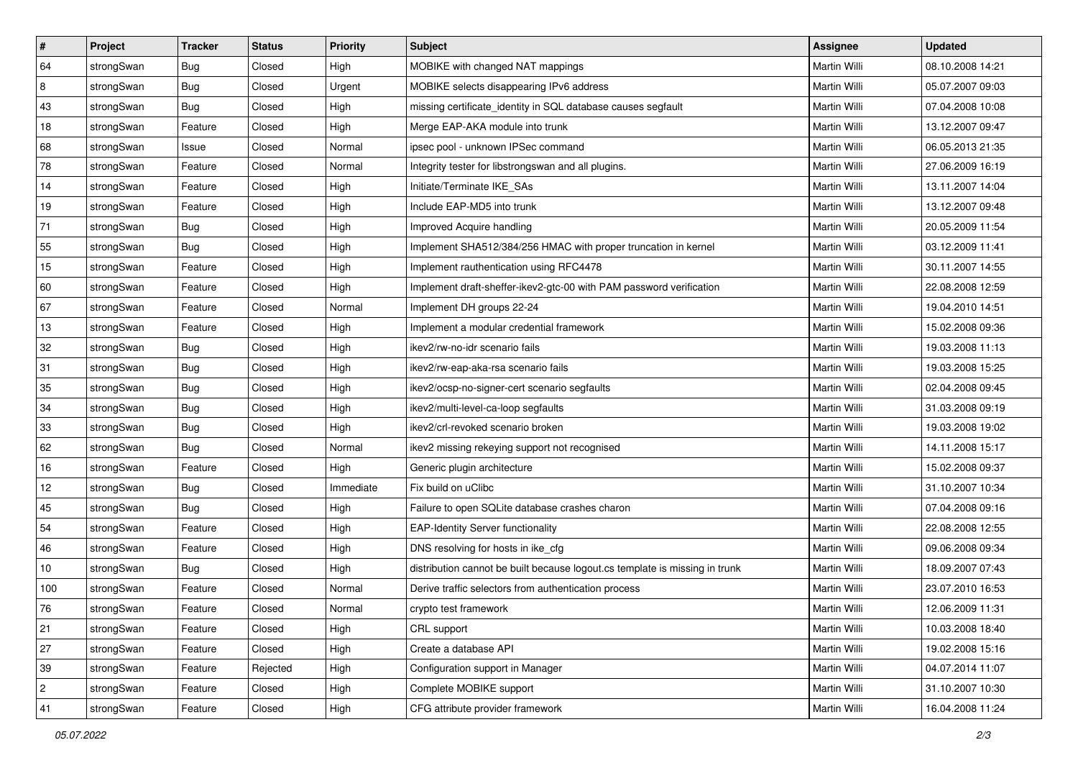| $\vert$ # | Project    | <b>Tracker</b> | <b>Status</b> | Priority  | <b>Subject</b>                                                              | <b>Assignee</b> | <b>Updated</b>   |
|-----------|------------|----------------|---------------|-----------|-----------------------------------------------------------------------------|-----------------|------------------|
| 64        | strongSwan | <b>Bug</b>     | Closed        | High      | MOBIKE with changed NAT mappings                                            | Martin Willi    | 08.10.2008 14:21 |
| 8         | strongSwan | Bug            | Closed        | Urgent    | MOBIKE selects disappearing IPv6 address                                    | Martin Willi    | 05.07.2007 09:03 |
| 43        | strongSwan | <b>Bug</b>     | Closed        | High      | missing certificate_identity in SQL database causes segfault                | Martin Willi    | 07.04.2008 10:08 |
| 18        | strongSwan | Feature        | Closed        | High      | Merge EAP-AKA module into trunk                                             | Martin Willi    | 13.12.2007 09:47 |
| 68        | strongSwan | Issue          | Closed        | Normal    | ipsec pool - unknown IPSec command                                          | Martin Willi    | 06.05.2013 21:35 |
| 78        | strongSwan | Feature        | Closed        | Normal    | Integrity tester for libstrongswan and all plugins.                         | Martin Willi    | 27.06.2009 16:19 |
| 14        | strongSwan | Feature        | Closed        | High      | Initiate/Terminate IKE_SAs                                                  | Martin Willi    | 13.11.2007 14:04 |
| 19        | strongSwan | Feature        | Closed        | High      | Include EAP-MD5 into trunk                                                  | Martin Willi    | 13.12.2007 09:48 |
| 71        | strongSwan | Bug            | Closed        | High      | Improved Acquire handling                                                   | Martin Willi    | 20.05.2009 11:54 |
| 55        | strongSwan | Bug            | Closed        | High      | Implement SHA512/384/256 HMAC with proper truncation in kernel              | Martin Willi    | 03.12.2009 11:41 |
| 15        | strongSwan | Feature        | Closed        | High      | Implement rauthentication using RFC4478                                     | Martin Willi    | 30.11.2007 14:55 |
| 60        | strongSwan | Feature        | Closed        | High      | Implement draft-sheffer-ikev2-gtc-00 with PAM password verification         | Martin Willi    | 22.08.2008 12:59 |
| 67        | strongSwan | Feature        | Closed        | Normal    | Implement DH groups 22-24                                                   | Martin Willi    | 19.04.2010 14:51 |
| 13        | strongSwan | Feature        | Closed        | High      | Implement a modular credential framework                                    | Martin Willi    | 15.02.2008 09:36 |
| 32        | strongSwan | Bug            | Closed        | High      | ikev2/rw-no-idr scenario fails                                              | Martin Willi    | 19.03.2008 11:13 |
| 31        | strongSwan | <b>Bug</b>     | Closed        | High      | ikev2/rw-eap-aka-rsa scenario fails                                         | Martin Willi    | 19.03.2008 15:25 |
| 35        | strongSwan | <b>Bug</b>     | Closed        | High      | ikev2/ocsp-no-signer-cert scenario segfaults                                | Martin Willi    | 02.04.2008 09:45 |
| 34        | strongSwan | Bug            | Closed        | High      | ikev2/multi-level-ca-loop segfaults                                         | Martin Willi    | 31.03.2008 09:19 |
| 33        | strongSwan | <b>Bug</b>     | Closed        | High      | ikev2/crl-revoked scenario broken                                           | Martin Willi    | 19.03.2008 19:02 |
| 62        | strongSwan | Bug            | Closed        | Normal    | ikev2 missing rekeying support not recognised                               | Martin Willi    | 14.11.2008 15:17 |
| 16        | strongSwan | Feature        | Closed        | High      | Generic plugin architecture                                                 | Martin Willi    | 15.02.2008 09:37 |
| 12        | strongSwan | <b>Bug</b>     | Closed        | Immediate | Fix build on uClibc                                                         | Martin Willi    | 31.10.2007 10:34 |
| 45        | strongSwan | Bug            | Closed        | High      | Failure to open SQLite database crashes charon                              | Martin Willi    | 07.04.2008 09:16 |
| 54        | strongSwan | Feature        | Closed        | High      | <b>EAP-Identity Server functionality</b>                                    | Martin Willi    | 22.08.2008 12:55 |
| 46        | strongSwan | Feature        | Closed        | High      | DNS resolving for hosts in ike_cfg                                          | Martin Willi    | 09.06.2008 09:34 |
| 10        | strongSwan | <b>Bug</b>     | Closed        | High      | distribution cannot be built because logout.cs template is missing in trunk | Martin Willi    | 18.09.2007 07:43 |
| 100       | strongSwan | Feature        | Closed        | Normal    | Derive traffic selectors from authentication process                        | Martin Willi    | 23.07.2010 16:53 |
| 76        | strongSwan | Feature        | Closed        | Normal    | crypto test framework                                                       | Martin Willi    | 12.06.2009 11:31 |
| 21        | strongSwan | Feature        | Closed        | High      | CRL support                                                                 | Martin Willi    | 10.03.2008 18:40 |
| 27        | strongSwan | Feature        | Closed        | High      | Create a database API                                                       | Martin Willi    | 19.02.2008 15:16 |
| 39        | strongSwan | Feature        | Rejected      | High      | Configuration support in Manager                                            | Martin Willi    | 04.07.2014 11:07 |
| $\vert$ 2 | strongSwan | Feature        | Closed        | High      | Complete MOBIKE support                                                     | Martin Willi    | 31.10.2007 10:30 |
| 41        | strongSwan | Feature        | Closed        | High      | CFG attribute provider framework                                            | Martin Willi    | 16.04.2008 11:24 |